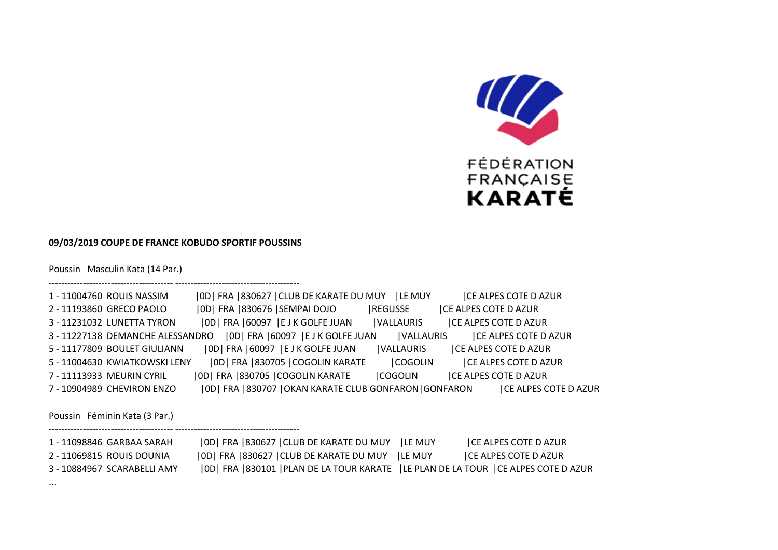

## **09/03/2019 COUPE DE FRANCE KOBUDO SPORTIF POUSSINS**

---------------------------------------- ----------------------------------------

---------------------------------------- ----------------------------------------

Poussin Masculin Kata (14 Par.)

| 1 - 11004760 ROUIS NASSIM        |                                    | 0D   FRA   830627   CLUB DE KARATE DU MUY                | <b>ILE MUY</b>   | <b>CE ALPES COTE D AZUR</b> |                             |
|----------------------------------|------------------------------------|----------------------------------------------------------|------------------|-----------------------------|-----------------------------|
| 2 - 11193860 GRECO PAOLO         | 0D   FRA   830676   SEMPAI DOJO    |                                                          | <b>REGUSSE</b>   | <b>CE ALPES COTE D AZUR</b> |                             |
| 3 - 11231032 LUNETTA TYRON       |                                    | 0D   FRA   60097   E J K GOLFE JUAN                      | <b>VALLAURIS</b> | <b>CE ALPES COTE D AZUR</b> |                             |
| 3 - 11227138 DEMANCHE ALESSANDRO |                                    | 0D   FRA   60097   E J K GOLFE JUAN                      | <b>VALLAURIS</b> |                             | <b>CE ALPES COTE D AZUR</b> |
| 5 - 11177809 BOULET GIULIANN     |                                    | OD   FRA   60097   E J K GOLFE JUAN                      | <b>VALLAURIS</b> | <b>CE ALPES COTE D AZUR</b> |                             |
| 5 - 11004630 KWIATKOWSKI LENY    |                                    | 0D   FRA   830705   COGOLIN KARATE                       | <b>COGOLIN</b>   | <b>CE ALPES COTE D AZUR</b> |                             |
| 7 - 11113933 MEURIN CYRIL        | 0D   FRA   830705   COGOLIN KARATE |                                                          | <b>COGOLIN</b>   | <b>CE ALPES COTE D AZUR</b> |                             |
| 7 - 10904989 CHEVIRON ENZO       |                                    | 0D   FRA   830707   OKAN KARATE CLUB GONFARON   GONFARON |                  |                             | <b>CE ALPES COTE D AZUR</b> |

Poussin Féminin Kata (3 Par.)

| 1 - 11098846  GARBAA SARAH  | OD  FRA  830627   CLUB DE KARATE DU MUY                                             | lle MUY | ICE ALPES COTE D AZUR |
|-----------------------------|-------------------------------------------------------------------------------------|---------|-----------------------|
| 2 - 11069815 ROUIS DOUNIA   | OD   FRA   830627   CLUB DE KARATE DU MUY   LE MUY                                  |         | CE ALPES COTE D AZUR  |
| 3 - 10884967 SCARABELLI AMY | OD  FRA  830101  PLAN DE LA TOUR KARATE   LE PLAN DE LA TOUR   CE ALPES COTE D AZUR |         |                       |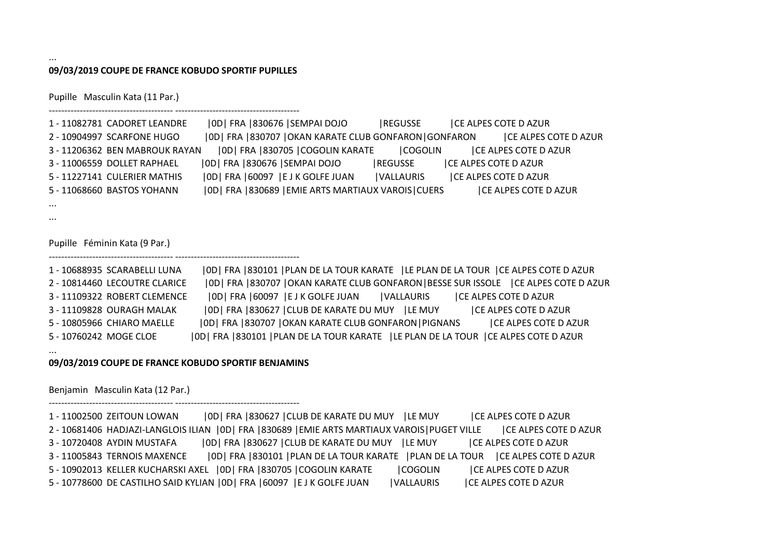---------------------------------------- ---------------------------------------- 1 - 11002500 ZEITOUN LOWAN |0D| FRA |830627 |CLUB DE KARATE DU MUY |LE MUY |CE ALPES COTE D AZUR 2 - 10681406 HADJAZI-LANGLOIS ILIAN |0D| FRA |830689 |EMIE ARTS MARTIAUX VAROIS|PUGET VILLE |CE ALPES COTE D AZUR 3 - 10720408 AYDIN MUSTAFA |0D| FRA |830627 |CLUB DE KARATE DU MUY |LE MUY |CE ALPES COTE D AZUR 3 - 11005843 TERNOIS MAXENCE |0D| FRA |830101 |PLAN DE LA TOUR KARATE |PLAN DE LA TOUR |CE ALPES COTE D AZUR 5 - 10902013 KELLER KUCHARSKI AXEL |0D| FRA |830705 |COGOLIN KARATE |COGOLIN |CE ALPES COTE D AZUR 5 - 10778600 DE CASTILHO SAID KYLIAN |0D| FRA |60097 |E J K GOLFE JUAN |VALLAURIS |CE ALPES COTE D AZUR

Benjamin Masculin Kata (12 Par.)

## **09/03/2019 COUPE DE FRANCE KOBUDO SPORTIF BENJAMINS**

| Pupille Féminin Kata (9 Par.) |  |                               |                                                                                         |  |  |  |
|-------------------------------|--|-------------------------------|-----------------------------------------------------------------------------------------|--|--|--|
|                               |  | 1 - 10688935 SCARABELLI LUNA  | 0D   FRA   830101   PLAN DE LA TOUR KARATE   LE PLAN DE LA TOUR   CE ALPES COTE D AZUR  |  |  |  |
|                               |  | 2 - 10814460 LECOUTRE CLARICE | OD   FRA   830707   OKAN KARATE CLUB GONFARON   BESSE SUR ISSOLE   CE ALPES COTE D AZUR |  |  |  |
|                               |  | 3 - 11109322 ROBERT CLEMENCE  | OD  FRA   60097   E J K GOLFE JUAN   VALLAURIS<br><b>CE ALPES COTE D AZUR</b>           |  |  |  |
|                               |  | 3 - 11109828 OURAGH MALAK     | OD   FRA   830627   CLUB DE KARATE DU MUY   LE MUY<br><b>CE ALPES COTE D AZUR</b>       |  |  |  |
|                               |  | 5 - 10805966 CHIARO MAELLE    | 0D   FRA   830707   OKAN KARATE CLUB GONFARON   PIGNANS<br><b>CE ALPES COTE D AZUR</b>  |  |  |  |
|                               |  | 5 - 10760242 MOGE CLOE        | OD   FRA   830101   PLAN DE LA TOUR KARATE   LE PLAN DE LA TOUR   CE ALPES COTE D AZUR  |  |  |  |

Pupille Masculin Kata (11 Par.)

... ...

...

---------------------------------------- ---------------------------------------- 1 - 11082781 CADORET LEANDRE |0D| FRA |830676 |SEMPAI DOJO |REGUSSE |CE ALPES COTE D AZUR 2 - 10904997 SCARFONE HUGO | OD| FRA |830707 | OKAN KARATE CLUB GONFARON | GONFARON | CE ALPES COTE D AZUR 3 - 11206362 BEN MABROUK RAYAN |0D| FRA |830705 |COGOLIN KARATE |COGOLIN |CE ALPES COTE D AZUR 3 - 11006559 DOLLET RAPHAEL | IOD| FRA | 830676 | SEMPAI DOJO | REGUSSE | CE ALPES COTE D AZUR 5 - 11227141 CULERIER MATHIS | OD | FRA | 60097 | E J K GOLFE JUAN | VALLAURIS | CE ALPES COTE D AZUR 5 - 11068660 BASTOS YOHANN | OD | FRA | 830689 | EMIE ARTS MARTIAUX VAROIS | CUERS | CE ALPES COTE D AZUR

## **09/03/2019 COUPE DE FRANCE KOBUDO SPORTIF PUPILLES**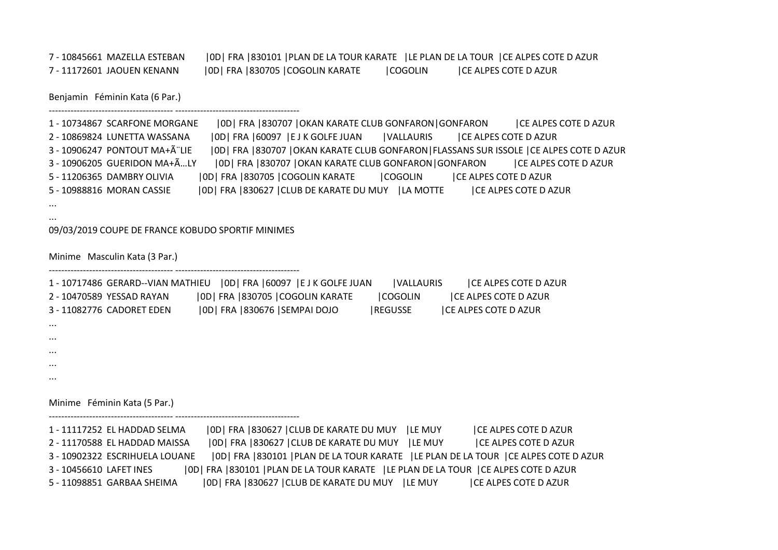7 - 10845661 MAZELLA ESTEBAN |0D| FRA |830101 |PLAN DE LA TOUR KARATE |LE PLAN DE LA TOUR |CE ALPES COTE D AZUR 7 - 11172601 JAOUEN KENANN |0D| FRA |830705 |COGOLIN KARATE |COGOLIN |CE ALPES COTE D AZUR

Benjamin Féminin Kata (6 Par.)

| 1 - 10734867 SCARFONE MORGANE | 0D   FRA   830707   OKAN KARATE CLUB GONFARON   GONFARON                                   |                               |                             | <b>CE ALPES COTE D AZUR</b> |
|-------------------------------|--------------------------------------------------------------------------------------------|-------------------------------|-----------------------------|-----------------------------|
| 2 - 10869824 LUNETTA WASSANA  | 0D   FRA   60097   E J K GOLFE JUAN                                                        | VALLAURIS CE ALPES COTE DAZUR |                             |                             |
| 3 - 10906247 PONTOUT MA+Ã LIE | 0D   FRA   830707   OKAN KARATE CLUB GONFARON   FLASSANS SUR ISSOLE   CE ALPES COTE D AZUR |                               |                             |                             |
| 3 - 10906205 GUERIDON MA+ÃLY  | OD   FRA   830707   OKAN KARATE CLUB GONFARON   GONFARON                                   |                               |                             | <b>CE ALPES COTE D AZUR</b> |
| 5 - 11206365 DAMBRY OLIVIA    | OD   FRA   830705   COGOLIN KARATE   COGOLIN                                               |                               | <b>CE ALPES COTE D AZUR</b> |                             |
| 5 - 10988816 MORAN CASSIE     | OD   FRA   830627   CLUB DE KARATE DU MUY   LA MOTTE                                       |                               |                             | <b>CE ALPES COTE D AZUR</b> |

... ...

09/03/2019 COUPE DE FRANCE KOBUDO SPORTIF MINIMES

---------------------------------------- ----------------------------------------

---------------------------------------- ----------------------------------------

---------------------------------------- ----------------------------------------

Minime Masculin Kata (3 Par.)

1 - 10717486 GERARD--VIAN MATHIEU |0D| FRA |60097 |E J K GOLFE JUAN |VALLAURIS |CE ALPES COTE D AZUR 2 - 10470589 YESSAD RAYAN | OD | FRA | 830705 | COGOLIN KARATE | COGOLIN | CE ALPES COTE D AZUR 3 - 11082776 CADORET EDEN | OD | FRA | 830676 | SEMPAI DOJO | REGUSSE | CE ALPES COTE D AZUR

... ...

...

...

...

Minime Féminin Kata (5 Par.)

|                         | 1 - 11117252 EL HADDAD SELMA   | OD   FRA   830627   CLUB DE KARATE DU MUY   LE MUY | <b>CE ALPES COTE D AZUR</b>                                                            |
|-------------------------|--------------------------------|----------------------------------------------------|----------------------------------------------------------------------------------------|
|                         | 2 - 11170588 EL HADDAD MAISSA  | OD   FRA   830627   CLUB DE KARATE DU MUY   LE MUY | <b>CE ALPES COTE D AZUR</b>                                                            |
|                         | 3 - 10902322 ESCRIHUELA LOUANE |                                                    | 0D   FRA   830101   PLAN DE LA TOUR KARATE   LE PLAN DE LA TOUR   CE ALPES COTE D AZUR |
| 3 - 10456610 LAFET INES |                                |                                                    | 0D   FRA   830101   PLAN DE LA TOUR KARATE   LE PLAN DE LA TOUR   CE ALPES COTE DAZUR  |
|                         | 5 - 11098851 GARBAA SHEIMA     | [OD] FRA   830627   CLUB DE KARATE DU MUY   LE MUY | CE ALPES COTE D AZUR                                                                   |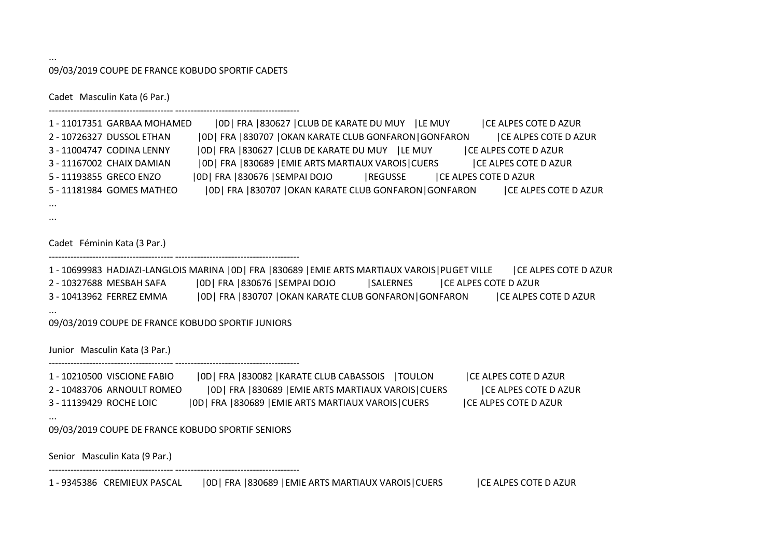09/03/2019 COUPE DE FRANCE KOBUDO SPORTIF CADETS

---------------------------------------- ----------------------------------------

Cadet Masculin Kata (6 Par.)

| 1 - 11017351 GARBAA MOHAMED | OD   FRA   830627   CLUB DE KARATE DU MUY   LE MUY<br><b>CE ALPES COTE D AZUR</b>       |
|-----------------------------|-----------------------------------------------------------------------------------------|
| 2 - 10726327 DUSSOL ETHAN   | 0D   FRA   830707   OKAN KARATE CLUB GONFARON   GONFARON<br><b>CE ALPES COTE D AZUR</b> |
| 3 - 11004747 CODINA LENNY   | 0D   FRA   830627   CLUB DE KARATE DU MUY   LE MUY<br><b>CE ALPES COTE D AZUR</b>       |
| 3 - 11167002 CHAIX DAMIAN   | 0D   FRA   830689   EMIE ARTS MARTIAUX VAROIS   CUERS<br><b>CE ALPES COTE D AZUR</b>    |
| 5 - 11193855 GRECO ENZO     | 0D   FRA   830676   SEMPAI DOJO<br><b>REGUSSE</b><br><b>CE ALPES COTE D AZUR</b>        |
| 5 - 11181984 GOMES MATHEO   | 0D   FRA   830707   OKAN KARATE CLUB GONFARON   GONFARON<br><b>CE ALPES COTE D AZUR</b> |
| $\cdots$                    |                                                                                         |

...

Cadet Féminin Kata (3 Par.)

1 - 10699983 HADJAZI-LANGLOIS MARINA |0D| FRA |830689 |EMIE ARTS MARTIAUX VAROIS|PUGET VILLE |CE ALPES COTE D AZUR 2 - 10327688 MESBAH SAFA | 0D | FRA | 830676 | SEMPAI DOJO | SALERNES | CE ALPES COTE D AZUR

3 - 10413962 FERREZ EMMA | OD | FRA | 830707 | OKAN KARATE CLUB GONFARON | GONFARON | CE ALPES COTE D AZUR

...

...

09/03/2019 COUPE DE FRANCE KOBUDO SPORTIF JUNIORS

---------------------------------------- ----------------------------------------

Junior Masculin Kata (3 Par.)

---------------------------------------- ---------------------------------------- 1 - 10210500 VISCIONE FABIO |0D| FRA |830082 |KARATE CLUB CABASSOIS |TOULON |CE ALPES COTE D AZUR 2 - 10483706 ARNOULT ROMEO | OD | FRA | 830689 | EMIE ARTS MARTIAUX VAROIS | CUERS | CE ALPES COTE D AZUR 3 - 11139429 ROCHE LOIC | 0D| FRA |830689 | EMIE ARTS MARTIAUX VAROIS | CUERS | CE ALPES COTE D AZUR

|  |  | 09/03/2019 COUPE DE FRANCE KOBUDO SPORTIF SENIORS |  |
|--|--|---------------------------------------------------|--|

---------------------------------------- ----------------------------------------

Senior Masculin Kata (9 Par.)

1 - 9345386 CREMIEUX PASCAL |0D| FRA |830689 |EMIE ARTS MARTIAUX VAROIS|CUERS |CE ALPES COTE D AZUR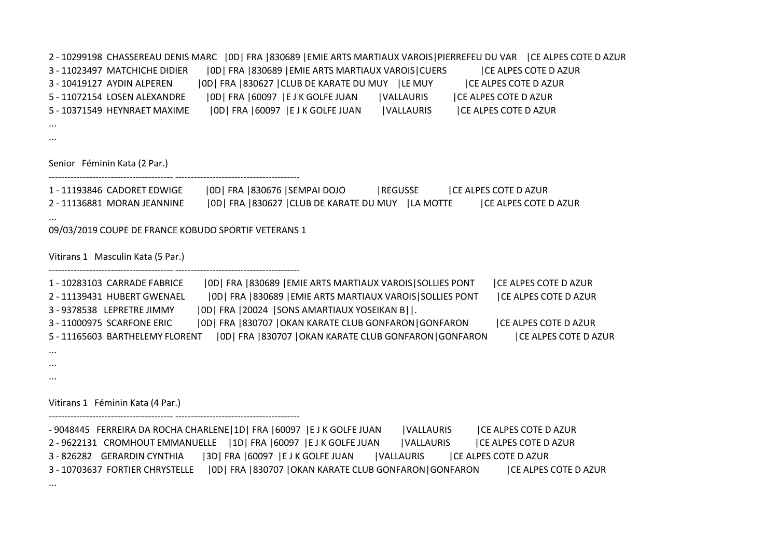2 - 10299198 CHASSEREAU DENIS MARC |0D| FRA |830689 |EMIE ARTS MARTIAUX VAROIS|PIERREFEU DU VAR |CE ALPES COTE D AZUR 3 - 11023497 MATCHICHE DIDIER |0D| FRA |830689 |EMIE ARTS MARTIAUX VAROIS|CUERS |CE ALPES COTE D AZUR 3 - 10419127 AYDIN ALPEREN |0D| FRA |830627 |CLUB DE KARATE DU MUY |LE MUY |CE ALPES COTE D AZUR 5 - 11072154 LOSEN ALEXANDRE |0D| FRA |60097 |E J K GOLFE JUAN |VALLAURIS |CE ALPES COTE D AZUR 5 - 10371549 HEYNRAET MAXIME | OD | FRA | 60097 | E J K GOLFE JUAN | VALLAURIS | CE ALPES COTE D AZUR

...

...

Senior Féminin Kata (2 Par.)

1 - 11193846 CADORET EDWIGE |0D| FRA |830676 |SEMPAI DOJO |REGUSSE |CE ALPES COTE D AZUR 2 - 11136881 MORAN JEANNINE | OD | FRA | 830627 | CLUB DE KARATE DU MUY | LA MOTTE | CE ALPES COTE D AZUR

...

09/03/2019 COUPE DE FRANCE KOBUDO SPORTIF VETERANS 1

---------------------------------------- ----------------------------------------

---------------------------------------- ----------------------------------------

Vitirans 1 Masculin Kata (5 Par.)

| 1 - 10283103 CARRADE FABRICE    | 0D   FRA   830689   EMIE ARTS MARTIAUX VAROIS   SOLLIES PONT | <b>CE ALPES COTE D AZUR</b> |
|---------------------------------|--------------------------------------------------------------|-----------------------------|
| 2 - 11139431 HUBERT GWENAEL     | 0D   FRA   830689   EMIE ARTS MARTIAUX VAROIS   SOLLIES PONT | <b>CE ALPES COTE D AZUR</b> |
| 3 - 9378538 LEPRETRE JIMMY      | [OD] FRA [20024   SONS AMARTIAUX YOSEIKAN B    .             |                             |
| 3 - 11000975 SCARFONE ERIC      | 0D   FRA   830707   OKAN KARATE CLUB GONFARON   GONFARON     | <b>CE ALPES COTE D AZUR</b> |
| 5 - 11165603 BARTHELEMY FLORENT | 0D   FRA   830707   OKAN KARATE CLUB GONFARON   GONFARON     | <b>CE ALPES COTE D AZUR</b> |
| $\cdots$                        |                                                              |                             |
|                                 |                                                              |                             |

...

Vitirans 1 Féminin Kata (4 Par.)

- 9048445 FERREIRA DA ROCHA CHARLENE|1D| FRA |60097 |E J K GOLFE JUAN |VALLAURIS |CE ALPES COTE D AZUR 2 - 9622131 CROMHOUT EMMANUELLE |1D| FRA |60097 |E J K GOLFE JUAN |VALLAURIS |CE ALPES COTE D AZUR 3 - 826282 GERARDIN CYNTHIA | 3D | FRA | 60097 | E J K GOLFE JUAN | VALLAURIS | CE ALPES COTE D AZUR 3 - 10703637 FORTIER CHRYSTELLE |0D| FRA |830707 |OKAN KARATE CLUB GONFARON|GONFARON |CE ALPES COTE D AZUR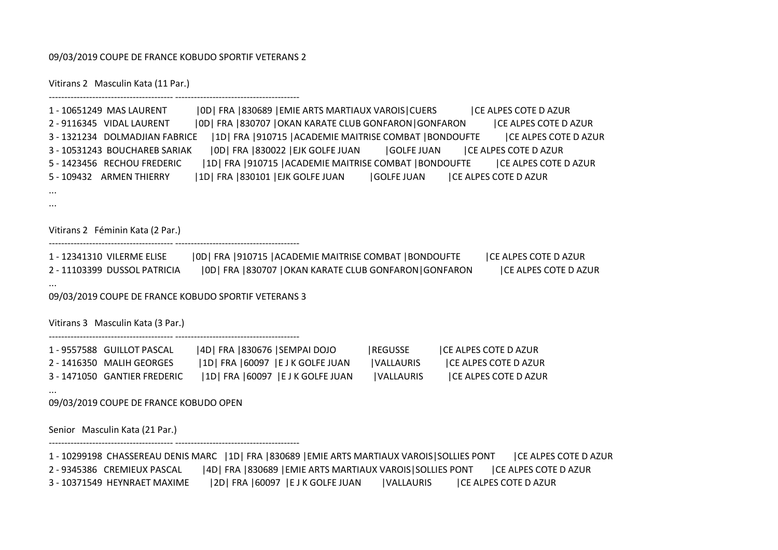## 09/03/2019 COUPE DE FRANCE KOBUDO SPORTIF VETERANS 2

Vitirans 2 Masculin Kata (11 Par.)

---------------------------------------- ---------------------------------------- 1 - 10651249 MAS LAURENT |0D| FRA |830689 |EMIE ARTS MARTIAUX VAROIS|CUERS |CE ALPES COTE D AZUR 2 - 9116345 VIDAL LAURENT |0D| FRA |830707 |OKAN KARATE CLUB GONFARON|GONFARON |CE ALPES COTE D AZUR 3 - 1321234 DOLMADJIAN FABRICE |1D| FRA |910715 |ACADEMIE MAITRISE COMBAT |BONDOUFTE |CE ALPES COTE D AZUR 3 - 10531243 BOUCHAREB SARIAK |0D| FRA |830022 |EJK GOLFE JUAN |GOLFE JUAN |CE ALPES COTE D AZUR 5 - 1423456 RECHOU FREDERIC |1D| FRA |910715 |ACADEMIE MAITRISE COMBAT |BONDOUFTE |CE ALPES COTE D AZUR 5 - 109432 ARMEN THIERRY | 1D | FRA | 830101 | EJK GOLFE JUAN | GOLFE JUAN | CE ALPES COTE D AZUR ... ... Vitirans 2 Féminin Kata (2 Par.) ---------------------------------------- ---------------------------------------- 1 - 12341310 VILERME ELISE |0D| FRA |910715 |ACADEMIE MAITRISE COMBAT |BONDOUFTE |CE ALPES COTE D AZUR 2 - 11103399 DUSSOL PATRICIA | OD | FRA | 830707 | OKAN KARATE CLUB GONFARON | GONFARON | CE ALPES COTE D AZUR ... 09/03/2019 COUPE DE FRANCE KOBUDO SPORTIF VETERANS 3 Vitirans 3 Masculin Kata (3 Par.) ---------------------------------------- ---------------------------------------- 1 - 9557588 GUILLOT PASCAL |4D| FRA |830676 |SEMPAI DOJO |REGUSSE |CE ALPES COTE D AZUR 2 - 1416350 MALIH GEORGES | 1D | FRA | 60097 | E J K GOLFE JUAN | VALLAURIS | CE ALPES COTE D AZUR 3 - 1471050 GANTIER FREDERIC | 1D | FRA | 60097 | E J K GOLFE JUAN | VALLAURIS | CE ALPES COTE D AZUR ... 09/03/2019 COUPE DE FRANCE KOBUDO OPEN Senior Masculin Kata (21 Par.) ---------------------------------------- ----------------------------------------

1 - 10299198 CHASSEREAU DENIS MARC |1D| FRA |830689 |EMIE ARTS MARTIAUX VAROIS|SOLLIES PONT |CE ALPES COTE D AZUR 2 - 9345386 CREMIEUX PASCAL |4D| FRA |830689 |EMIE ARTS MARTIAUX VAROIS|SOLLIES PONT |CE ALPES COTE D AZUR 3 - 10371549 HEYNRAET MAXIME |2D| FRA |60097 |E J K GOLFE JUAN |VALLAURIS |CE ALPES COTE D AZUR